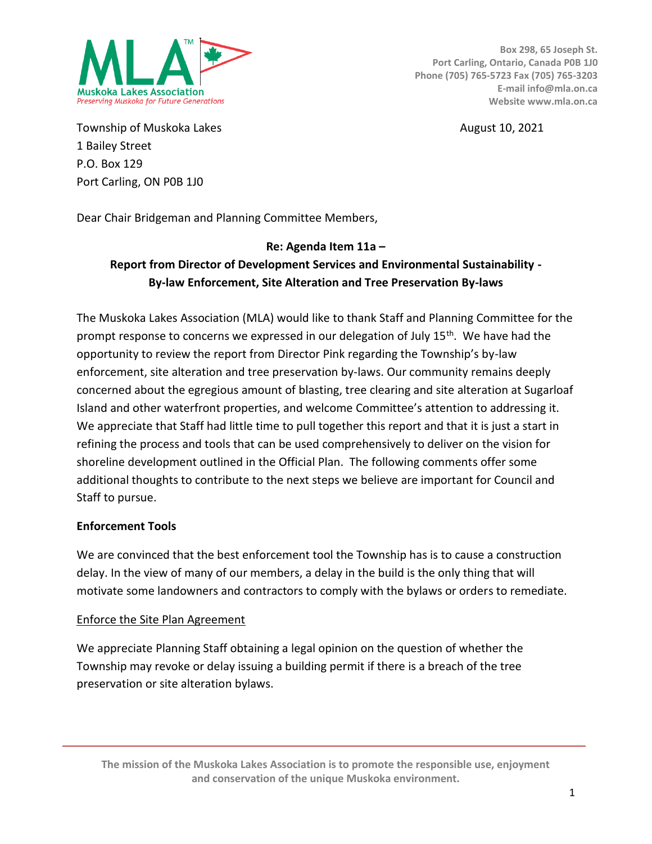

**Box 298, 65 Joseph St. Port Carling, Ontario, Canada P0B 1J0 Phone (705) 765-5723 Fax (705) 765-3203 E-mail info@mla.on.ca Website www.mla.on.ca**

Township of Muskoka Lakes **August 10, 2021 August 10, 2021** 1 Bailey Street P.O. Box 129 Port Carling, ON P0B 1J0

Dear Chair Bridgeman and Planning Committee Members,

## **Re: Agenda Item 11a –**

# **Report from Director of Development Services and Environmental Sustainability - By-law Enforcement, Site Alteration and Tree Preservation By-laws**

The Muskoka Lakes Association (MLA) would like to thank Staff and Planning Committee for the prompt response to concerns we expressed in our delegation of July 15<sup>th</sup>. We have had the opportunity to review the report from Director Pink regarding the Township's by-law enforcement, site alteration and tree preservation by-laws. Our community remains deeply concerned about the egregious amount of blasting, tree clearing and site alteration at Sugarloaf Island and other waterfront properties, and welcome Committee's attention to addressing it. We appreciate that Staff had little time to pull together this report and that it is just a start in refining the process and tools that can be used comprehensively to deliver on the vision for shoreline development outlined in the Official Plan. The following comments offer some additional thoughts to contribute to the next steps we believe are important for Council and Staff to pursue.

## **Enforcement Tools**

We are convinced that the best enforcement tool the Township has is to cause a construction delay. In the view of many of our members, a delay in the build is the only thing that will motivate some landowners and contractors to comply with the bylaws or orders to remediate.

#### Enforce the Site Plan Agreement

We appreciate Planning Staff obtaining a legal opinion on the question of whether the Township may revoke or delay issuing a building permit if there is a breach of the tree preservation or site alteration bylaws.

**The mission of the Muskoka Lakes Association is to promote the responsible use, enjoyment and conservation of the unique Muskoka environment.**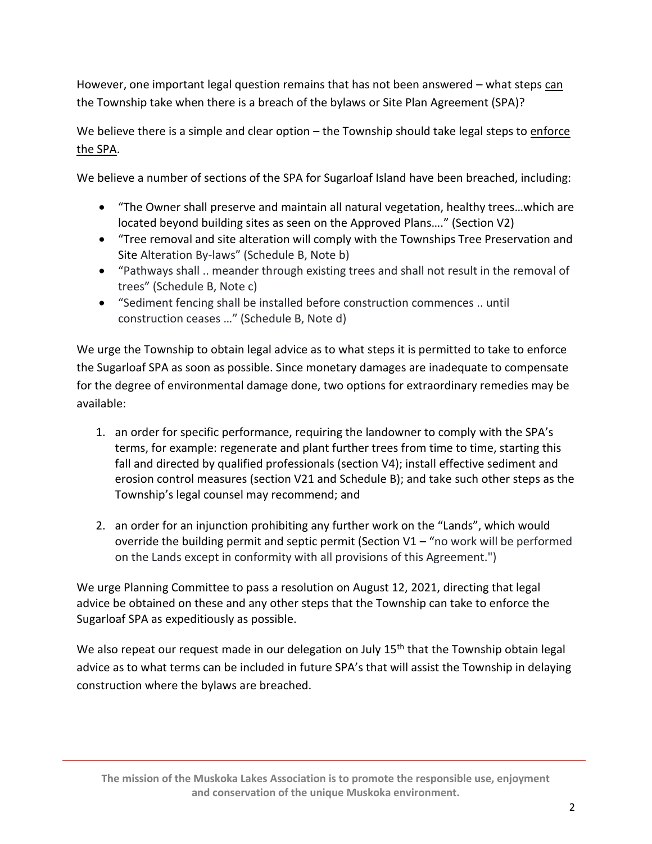However, one important legal question remains that has not been answered – what steps can the Township take when there is a breach of the bylaws or Site Plan Agreement (SPA)?

We believe there is a simple and clear option – the Township should take legal steps to enforce the SPA.

We believe a number of sections of the SPA for Sugarloaf Island have been breached, including:

- "The Owner shall preserve and maintain all natural vegetation, healthy trees…which are located beyond building sites as seen on the Approved Plans…." (Section V2)
- "Tree removal and site alteration will comply with the Townships Tree Preservation and Site Alteration By-laws" (Schedule B, Note b)
- "Pathways shall .. meander through existing trees and shall not result in the removal of trees" (Schedule B, Note c)
- "Sediment fencing shall be installed before construction commences .. until construction ceases …" (Schedule B, Note d)

We urge the Township to obtain legal advice as to what steps it is permitted to take to enforce the Sugarloaf SPA as soon as possible. Since monetary damages are inadequate to compensate for the degree of environmental damage done, two options for extraordinary remedies may be available:

- 1. an order for specific performance, requiring the landowner to comply with the SPA's terms, for example: regenerate and plant further trees from time to time, starting this fall and directed by qualified professionals (section V4); install effective sediment and erosion control measures (section V21 and Schedule B); and take such other steps as the Township's legal counsel may recommend; and
- 2. an order for an injunction prohibiting any further work on the "Lands", which would override the building permit and septic permit (Section  $V1 - r$  no work will be performed on the Lands except in conformity with all provisions of this Agreement.")

We urge Planning Committee to pass a resolution on August 12, 2021, directing that legal advice be obtained on these and any other steps that the Township can take to enforce the Sugarloaf SPA as expeditiously as possible.

We also repeat our request made in our delegation on July 15<sup>th</sup> that the Township obtain legal advice as to what terms can be included in future SPA's that will assist the Township in delaying construction where the bylaws are breached.

**The mission of the Muskoka Lakes Association is to promote the responsible use, enjoyment and conservation of the unique Muskoka environment.**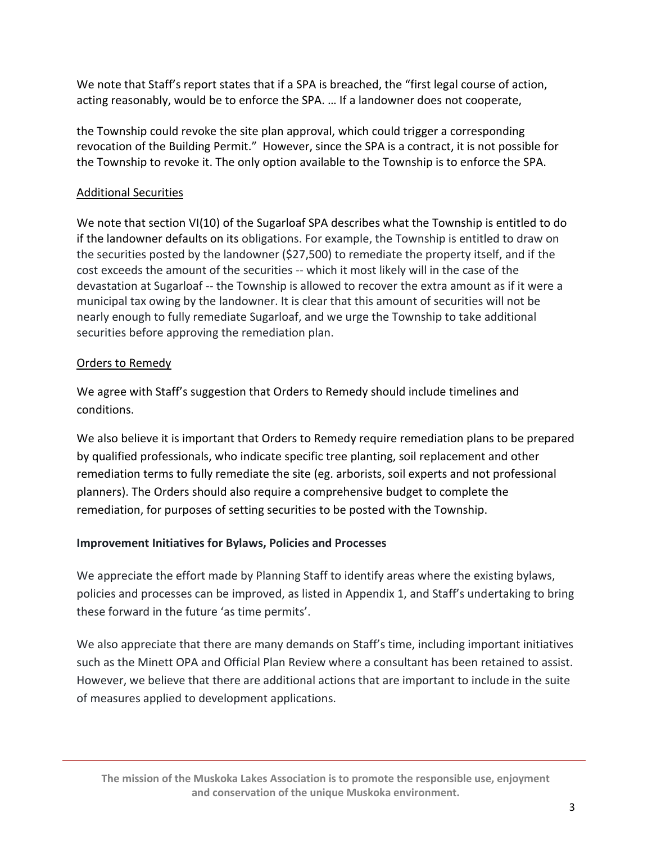We note that Staff's report states that if a SPA is breached, the "first legal course of action, acting reasonably, would be to enforce the SPA. … If a landowner does not cooperate,

the Township could revoke the site plan approval, which could trigger a corresponding revocation of the Building Permit." However, since the SPA is a contract, it is not possible for the Township to revoke it. The only option available to the Township is to enforce the SPA.

## Additional Securities

We note that section VI(10) of the Sugarloaf SPA describes what the Township is entitled to do if the landowner defaults on its obligations. For example, the Township is entitled to draw on the securities posted by the landowner (\$27,500) to remediate the property itself, and if the cost exceeds the amount of the securities -- which it most likely will in the case of the devastation at Sugarloaf -- the Township is allowed to recover the extra amount as if it were a municipal tax owing by the landowner. It is clear that this amount of securities will not be nearly enough to fully remediate Sugarloaf, and we urge the Township to take additional securities before approving the remediation plan.

## Orders to Remedy

We agree with Staff's suggestion that Orders to Remedy should include timelines and conditions.

We also believe it is important that Orders to Remedy require remediation plans to be prepared by qualified professionals, who indicate specific tree planting, soil replacement and other remediation terms to fully remediate the site (eg. arborists, soil experts and not professional planners). The Orders should also require a comprehensive budget to complete the remediation, for purposes of setting securities to be posted with the Township.

# **Improvement Initiatives for Bylaws, Policies and Processes**

We appreciate the effort made by Planning Staff to identify areas where the existing bylaws, policies and processes can be improved, as listed in Appendix 1, and Staff's undertaking to bring these forward in the future 'as time permits'.

We also appreciate that there are many demands on Staff's time, including important initiatives such as the Minett OPA and Official Plan Review where a consultant has been retained to assist. However, we believe that there are additional actions that are important to include in the suite of measures applied to development applications.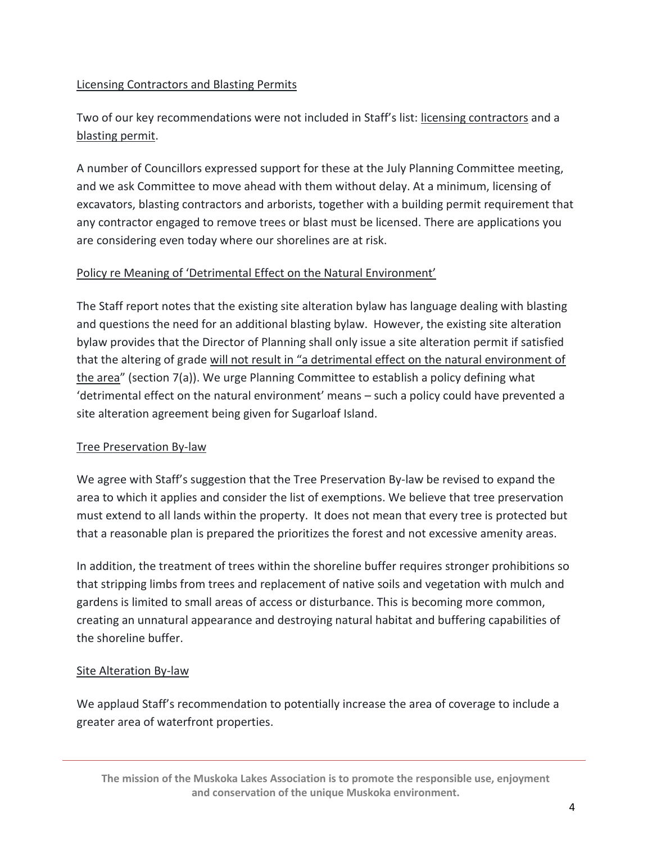### Licensing Contractors and Blasting Permits

Two of our key recommendations were not included in Staff's list: licensing contractors and a blasting permit.

A number of Councillors expressed support for these at the July Planning Committee meeting, and we ask Committee to move ahead with them without delay. At a minimum, licensing of excavators, blasting contractors and arborists, together with a building permit requirement that any contractor engaged to remove trees or blast must be licensed. There are applications you are considering even today where our shorelines are at risk.

#### Policy re Meaning of 'Detrimental Effect on the Natural Environment'

The Staff report notes that the existing site alteration bylaw has language dealing with blasting and questions the need for an additional blasting bylaw. However, the existing site alteration bylaw provides that the Director of Planning shall only issue a site alteration permit if satisfied that the altering of grade will not result in "a detrimental effect on the natural environment of the area" (section 7(a)). We urge Planning Committee to establish a policy defining what 'detrimental effect on the natural environment' means – such a policy could have prevented a site alteration agreement being given for Sugarloaf Island.

#### Tree Preservation By-law

We agree with Staff's suggestion that the Tree Preservation By-law be revised to expand the area to which it applies and consider the list of exemptions. We believe that tree preservation must extend to all lands within the property. It does not mean that every tree is protected but that a reasonable plan is prepared the prioritizes the forest and not excessive amenity areas.

In addition, the treatment of trees within the shoreline buffer requires stronger prohibitions so that stripping limbs from trees and replacement of native soils and vegetation with mulch and gardens is limited to small areas of access or disturbance. This is becoming more common, creating an unnatural appearance and destroying natural habitat and buffering capabilities of the shoreline buffer.

#### Site Alteration By-law

We applaud Staff's recommendation to potentially increase the area of coverage to include a greater area of waterfront properties.

**The mission of the Muskoka Lakes Association is to promote the responsible use, enjoyment and conservation of the unique Muskoka environment.**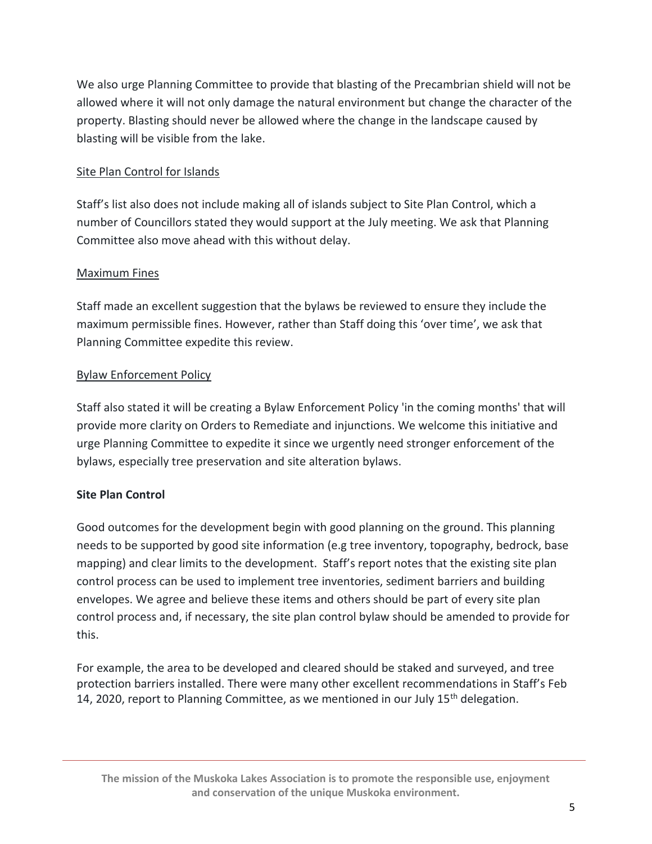We also urge Planning Committee to provide that blasting of the Precambrian shield will not be allowed where it will not only damage the natural environment but change the character of the property. Blasting should never be allowed where the change in the landscape caused by blasting will be visible from the lake.

## Site Plan Control for Islands

Staff's list also does not include making all of islands subject to Site Plan Control, which a number of Councillors stated they would support at the July meeting. We ask that Planning Committee also move ahead with this without delay.

## Maximum Fines

Staff made an excellent suggestion that the bylaws be reviewed to ensure they include the maximum permissible fines. However, rather than Staff doing this 'over time', we ask that Planning Committee expedite this review.

## Bylaw Enforcement Policy

Staff also stated it will be creating a Bylaw Enforcement Policy 'in the coming months' that will provide more clarity on Orders to Remediate and injunctions. We welcome this initiative and urge Planning Committee to expedite it since we urgently need stronger enforcement of the bylaws, especially tree preservation and site alteration bylaws.

# **Site Plan Control**

Good outcomes for the development begin with good planning on the ground. This planning needs to be supported by good site information (e.g tree inventory, topography, bedrock, base mapping) and clear limits to the development. Staff's report notes that the existing site plan control process can be used to implement tree inventories, sediment barriers and building envelopes. We agree and believe these items and others should be part of every site plan control process and, if necessary, the site plan control bylaw should be amended to provide for this.

For example, the area to be developed and cleared should be staked and surveyed, and tree protection barriers installed. There were many other excellent recommendations in Staff's Feb 14, 2020, report to Planning Committee, as we mentioned in our July  $15<sup>th</sup>$  delegation.

**The mission of the Muskoka Lakes Association is to promote the responsible use, enjoyment and conservation of the unique Muskoka environment.**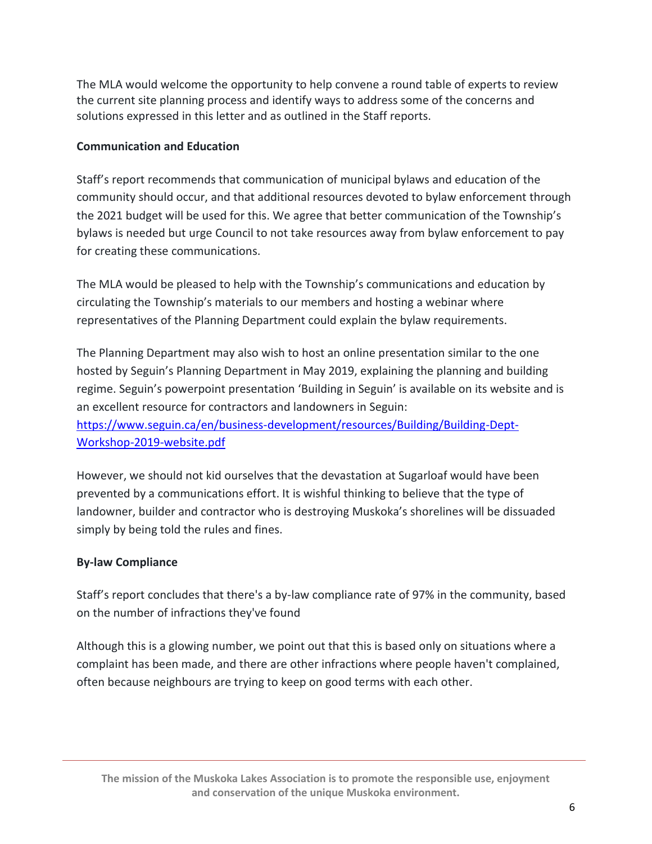The MLA would welcome the opportunity to help convene a round table of experts to review the current site planning process and identify ways to address some of the concerns and solutions expressed in this letter and as outlined in the Staff reports.

## **Communication and Education**

Staff's report recommends that communication of municipal bylaws and education of the community should occur, and that additional resources devoted to bylaw enforcement through the 2021 budget will be used for this. We agree that better communication of the Township's bylaws is needed but urge Council to not take resources away from bylaw enforcement to pay for creating these communications.

The MLA would be pleased to help with the Township's communications and education by circulating the Township's materials to our members and hosting a webinar where representatives of the Planning Department could explain the bylaw requirements.

The Planning Department may also wish to host an online presentation similar to the one hosted by Seguin's Planning Department in May 2019, explaining the planning and building regime. Seguin's powerpoint presentation 'Building in Seguin' is available on its website and is an excellent resource for contractors and landowners in Seguin: [https://www.seguin.ca/en/business-development/resources/Building/Building-Dept-](https://www.seguin.ca/en/business-development/resources/Building/Building-Dept-Workshop-2019-website.pdf)[Workshop-2019-website.pdf](https://www.seguin.ca/en/business-development/resources/Building/Building-Dept-Workshop-2019-website.pdf)

However, we should not kid ourselves that the devastation at Sugarloaf would have been prevented by a communications effort. It is wishful thinking to believe that the type of landowner, builder and contractor who is destroying Muskoka's shorelines will be dissuaded simply by being told the rules and fines.

# **By-law Compliance**

Staff's report concludes that there's a by-law compliance rate of 97% in the community, based on the number of infractions they've found

Although this is a glowing number, we point out that this is based only on situations where a complaint has been made, and there are other infractions where people haven't complained, often because neighbours are trying to keep on good terms with each other.